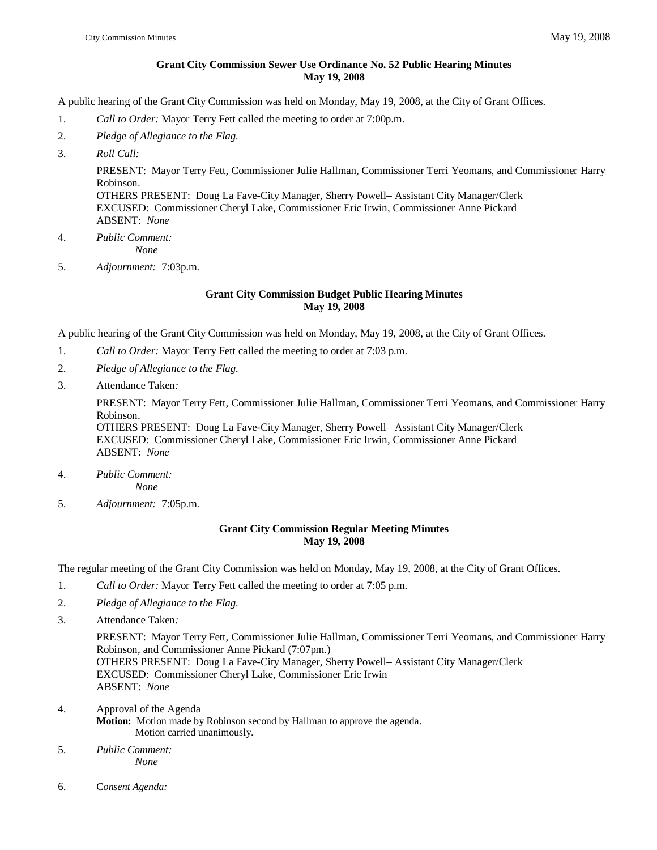### **Grant City Commission Sewer Use Ordinance No. 52 Public Hearing Minutes May 19, 2008**

A public hearing of the Grant City Commission was held on Monday, May 19, 2008, at the City of Grant Offices.

- 1. *Call to Order:* Mayor Terry Fett called the meeting to order at 7:00p.m.
- 2. *Pledge of Allegiance to the Flag.*
- 3. *Roll Call:*

PRESENT: Mayor Terry Fett, Commissioner Julie Hallman, Commissioner Terri Yeomans, and Commissioner Harry Robinson.

OTHERS PRESENT: Doug La Fave-City Manager, Sherry Powell– Assistant City Manager/Clerk EXCUSED: Commissioner Cheryl Lake, Commissioner Eric Irwin, Commissioner Anne Pickard ABSENT: *None*

- 4. *Public Comment: None*
- 5. *Adjournment:* 7:03p.m.

### **Grant City Commission Budget Public Hearing Minutes May 19, 2008**

A public hearing of the Grant City Commission was held on Monday, May 19, 2008, at the City of Grant Offices.

- 1. *Call to Order:* Mayor Terry Fett called the meeting to order at 7:03 p.m.
- 2. *Pledge of Allegiance to the Flag.*
- 3. Attendance Taken*:*

PRESENT: Mayor Terry Fett, Commissioner Julie Hallman, Commissioner Terri Yeomans, and Commissioner Harry Robinson.

OTHERS PRESENT: Doug La Fave-City Manager, Sherry Powell– Assistant City Manager/Clerk EXCUSED: Commissioner Cheryl Lake, Commissioner Eric Irwin, Commissioner Anne Pickard ABSENT: *None*

- 4. *Public Comment: None*
- 5. *Adjournment:* 7:05p.m.

## **Grant City Commission Regular Meeting Minutes May 19, 2008**

The regular meeting of the Grant City Commission was held on Monday, May 19, 2008, at the City of Grant Offices.

- 1. *Call to Order:* Mayor Terry Fett called the meeting to order at 7:05 p.m.
- 2. *Pledge of Allegiance to the Flag.*
- 3. Attendance Taken*:*

PRESENT: Mayor Terry Fett, Commissioner Julie Hallman, Commissioner Terri Yeomans, and Commissioner Harry Robinson, and Commissioner Anne Pickard (7:07pm.) OTHERS PRESENT: Doug La Fave-City Manager, Sherry Powell– Assistant City Manager/Clerk EXCUSED: Commissioner Cheryl Lake, Commissioner Eric Irwin ABSENT: *None*

- 4. Approval of the Agenda **Motion:** Motion made by Robinson second by Hallman to approve the agenda. Motion carried unanimously.
- 5. *Public Comment: None*
- 6. C*onsent Agenda:*